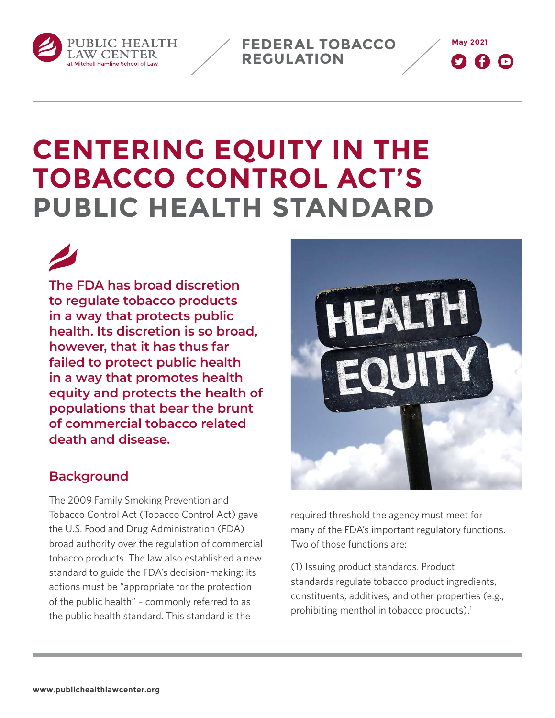

**May 2021 FEDERAL TOBACCO REGULATION**



# **CENTERING EQUITY IN THE TOBACCO CONTROL ACT'S PUBLIC HEALTH STANDARD**

**The FDA has broad discretion to regulate tobacco products in a way that protects public health. Its discretion is so broad, however, that it has thus far failed to protect public health in a way that promotes health equity and protects the health of populations that bear the brunt of commercial tobacco related death and disease.**

#### **Background**

The 2009 Family Smoking Prevention and Tobacco Control Act (Tobacco Control Act) gave the U.S. Food and Drug Administration (FDA) broad authority over the regulation of commercial tobacco products. The law also established a new standard to guide the FDA's decision-making: its actions must be "appropriate for the protection of the public health" – commonly referred to as the public health standard. This standard is the



required threshold the agency must meet for many of the FDA's important regulatory functions. Two of those functions are:

(1) Issuing product standards. Product standards regulate tobacco product ingredients, constituents, additives, and other properties (e.g., prohibiting menthol in tobacco products).<sup>1</sup>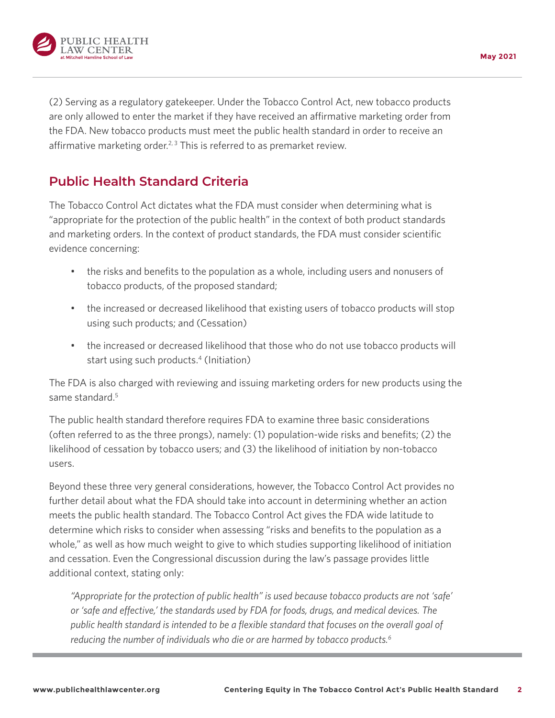

(2) Serving as a regulatory gatekeeper. Under the Tobacco Control Act, new tobacco products are only allowed to enter the market if they have received an affirmative marketing order from the FDA. New tobacco products must meet the public health standard in order to receive an affirmative marketing order.<sup>2, 3</sup> This is referred to as premarket review.

## **Public Health Standard Criteria**

The Tobacco Control Act dictates what the FDA must consider when determining what is "appropriate for the protection of the public health" in the context of both product standards and marketing orders. In the context of product standards, the FDA must consider scientific evidence concerning:

- the risks and benefits to the population as a whole, including users and nonusers of tobacco products, of the proposed standard;
- the increased or decreased likelihood that existing users of tobacco products will stop using such products; and (Cessation)
- the increased or decreased likelihood that those who do not use tobacco products will start using such products.<sup>4</sup> (Initiation)

The FDA is also charged with reviewing and issuing marketing orders for new products using the same standard.5

The public health standard therefore requires FDA to examine three basic considerations (often referred to as the three prongs), namely: (1) population-wide risks and benefits; (2) the likelihood of cessation by tobacco users; and (3) the likelihood of initiation by non-tobacco users.

Beyond these three very general considerations, however, the Tobacco Control Act provides no further detail about what the FDA should take into account in determining whether an action meets the public health standard. The Tobacco Control Act gives the FDA wide latitude to determine which risks to consider when assessing "risks and benefits to the population as a whole," as well as how much weight to give to which studies supporting likelihood of initiation and cessation. Even the Congressional discussion during the law's passage provides little additional context, stating only:

*"Appropriate for the protection of public health" is used because tobacco products are not 'safe' or 'safe and effective,' the standards used by FDA for foods, drugs, and medical devices. The public health standard is intended to be a flexible standard that focuses on the overall goal of reducing the number of individuals who die or are harmed by tobacco products.6*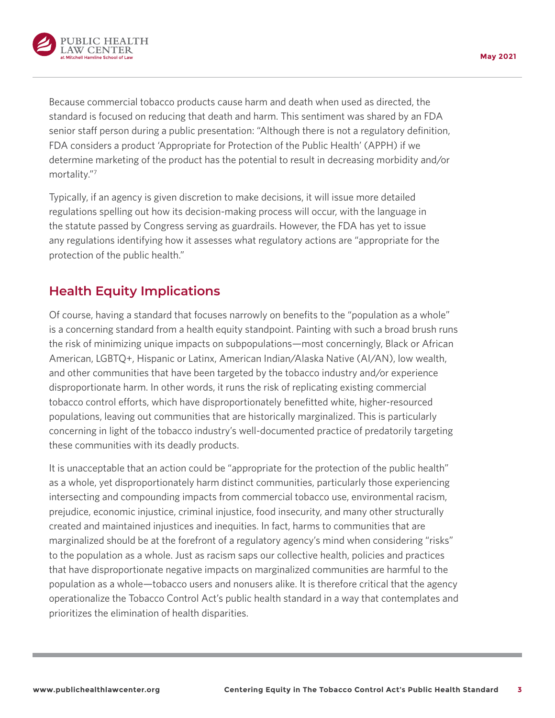

**May 2021**

Because commercial tobacco products cause harm and death when used as directed, the standard is focused on reducing that death and harm. This sentiment was shared by an FDA senior staff person during a public presentation: "Although there is not a regulatory definition, FDA considers a product 'Appropriate for Protection of the Public Health' (APPH) if we determine marketing of the product has the potential to result in decreasing morbidity and/or mortality."7

Typically, if an agency is given discretion to make decisions, it will issue more detailed regulations spelling out how its decision-making process will occur, with the language in the statute passed by Congress serving as guardrails. However, the FDA has yet to issue any regulations identifying how it assesses what regulatory actions are "appropriate for the protection of the public health."

## **Health Equity Implications**

Of course, having a standard that focuses narrowly on benefits to the "population as a whole" is a concerning standard from a health equity standpoint. Painting with such a broad brush runs the risk of minimizing unique impacts on subpopulations—most concerningly, Black or African American, LGBTQ+, Hispanic or Latinx, American Indian/Alaska Native (AI/AN), low wealth, and other communities that have been targeted by the tobacco industry and/or experience disproportionate harm. In other words, it runs the risk of replicating existing commercial tobacco control efforts, which have disproportionately benefitted white, higher-resourced populations, leaving out communities that are historically marginalized. This is particularly concerning in light of the tobacco industry's well-documented practice of predatorily targeting these communities with its deadly products.

It is unacceptable that an action could be "appropriate for the protection of the public health" as a whole, yet disproportionately harm distinct communities, particularly those experiencing intersecting and compounding impacts from commercial tobacco use, environmental racism, prejudice, economic injustice, criminal injustice, food insecurity, and many other structurally created and maintained injustices and inequities. In fact, harms to communities that are marginalized should be at the forefront of a regulatory agency's mind when considering "risks" to the population as a whole. Just as racism saps our collective health, policies and practices that have disproportionate negative impacts on marginalized communities are harmful to the population as a whole—tobacco users and nonusers alike. It is therefore critical that the agency operationalize the Tobacco Control Act's public health standard in a way that contemplates and prioritizes the elimination of health disparities.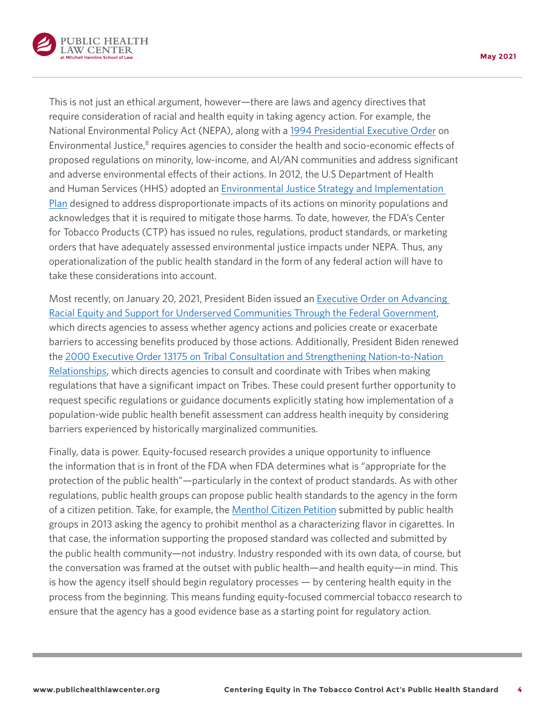

This is not just an ethical argument, however—there are laws and agency directives that require consideration of racial and health equity in taking agency action. For example, the National Environmental Policy Act (NEPA), along with a [1994 Presidential Executive Order](https://www.archives.gov/files/federal-register/executive-orders/pdf/12898.pdf) on Environmental Justice,<sup>8</sup> requires agencies to consider the health and socio-economic effects of proposed regulations on minority, low-income, and AI/AN communities and address significant and adverse environmental effects of their actions. In 2012, the U.S Department of Health and Human Services (HHS) adopted an [Environmental Justice Strategy and Implementation](https://www.hhs.gov/sites/default/files/environmentaljustice/strategy.pdf)  [Plan](https://www.hhs.gov/sites/default/files/environmentaljustice/strategy.pdf) designed to address disproportionate impacts of its actions on minority populations and acknowledges that it is required to mitigate those harms. To date, however, the FDA's Center for Tobacco Products (CTP) has issued no rules, regulations, product standards, or marketing orders that have adequately assessed environmental justice impacts under NEPA. Thus, any operationalization of the public health standard in the form of any federal action will have to take these considerations into account.

Most recently, on January 20, 2021, President Biden issued an [Executive Order on Advancing](https://www.whitehouse.gov/briefing-room/presidential-actions/2021/01/20/executive-order-advancing-racial-equity-and-support-for-underserved-communities-through-the-federal-government/)  [Racial Equity and Support for Underserved Communities Through the Federal Government,](https://www.whitehouse.gov/briefing-room/presidential-actions/2021/01/20/executive-order-advancing-racial-equity-and-support-for-underserved-communities-through-the-federal-government/) which directs agencies to assess whether agency actions and policies create or exacerbate barriers to accessing benefits produced by those actions. Additionally, President Biden renewed the [2000 Executive Order 13175 on Tribal Consultation and Strengthening Nation-to-Nation](https://www.whitehouse.gov/briefing-room/presidential-actions/2021/01/26/memorandum-on-tribal-consultation-and-strengthening-nation-to-nation-relationships/)  [Relationships,](https://www.whitehouse.gov/briefing-room/presidential-actions/2021/01/26/memorandum-on-tribal-consultation-and-strengthening-nation-to-nation-relationships/) which directs agencies to consult and coordinate with Tribes when making regulations that have a significant impact on Tribes. These could present further opportunity to request specific regulations or guidance documents explicitly stating how implementation of a population-wide public health benefit assessment can address health inequity by considering barriers experienced by historically marginalized communities.

Finally, data is power. Equity-focused research provides a unique opportunity to influence the information that is in front of the FDA when FDA determines what is "appropriate for the protection of the public health"—particularly in the context of product standards. As with other regulations, public health groups can propose public health standards to the agency in the form of a citizen petition. Take, for example, the [Menthol Citizen Petition](https://www.publichealthlawcenter.org/sites/default/files/resources/tclc-fdacitizenpetition-menthol-2013.pdf) submitted by public health groups in 2013 asking the agency to prohibit menthol as a characterizing flavor in cigarettes. In that case, the information supporting the proposed standard was collected and submitted by the public health community—not industry. Industry responded with its own data, of course, but the conversation was framed at the outset with public health—and health equity—in mind. This is how the agency itself should begin regulatory processes — by centering health equity in the process from the beginning. This means funding equity-focused commercial tobacco research to ensure that the agency has a good evidence base as a starting point for regulatory action.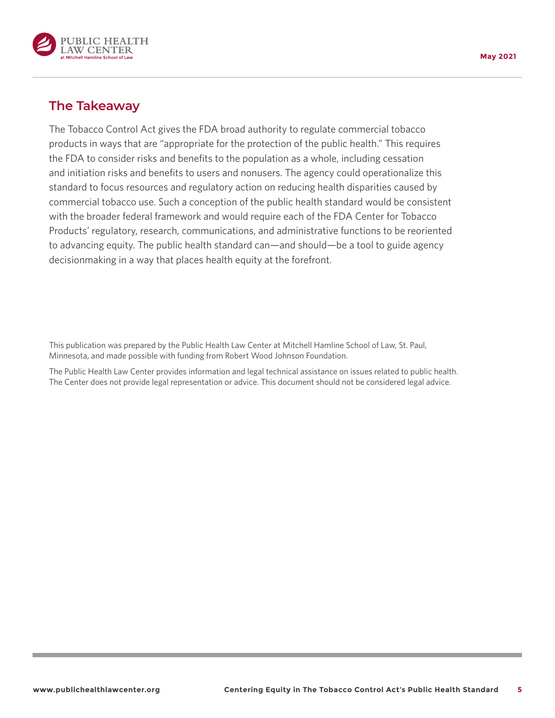

### **The Takeaway**

The Tobacco Control Act gives the FDA broad authority to regulate commercial tobacco products in ways that are "appropriate for the protection of the public health." This requires the FDA to consider risks and benefits to the population as a whole, including cessation and initiation risks and benefits to users and nonusers. The agency could operationalize this standard to focus resources and regulatory action on reducing health disparities caused by commercial tobacco use. Such a conception of the public health standard would be consistent with the broader federal framework and would require each of the FDA Center for Tobacco Products' regulatory, research, communications, and administrative functions to be reoriented to advancing equity. The public health standard can—and should—be a tool to guide agency decisionmaking in a way that places health equity at the forefront.

This publication was prepared by the Public Health Law Center at Mitchell Hamline School of Law, St. Paul, Minnesota, and made possible with funding from Robert Wood Johnson Foundation.

The Public Health Law Center provides information and legal technical assistance on issues related to public health. The Center does not provide legal representation or advice. This document should not be considered legal advice.